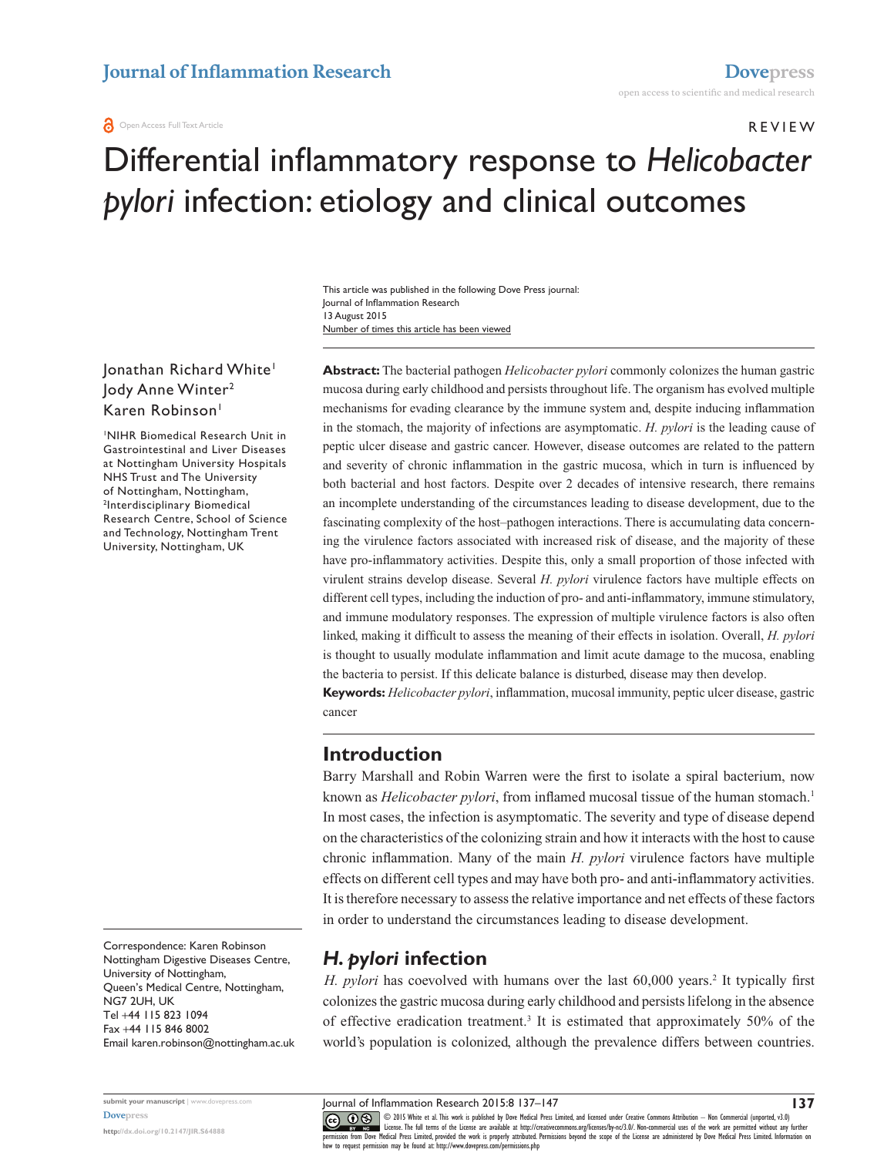#### **a** Open Access Full Text Article

REVIEW

# Differential inflammatory response to *Helicobacter pylori* infection: etiology and clinical outcomes

Number of times this article has been viewed This article was published in the following Dove Press journal: Journal of Inflammation Research 13 August 2015

## Jonathan Richard White<sup>1</sup> Jody Anne Winter2 Karen Robinson<sup>1</sup>

1 NIHR Biomedical Research Unit in Gastrointestinal and Liver Diseases at Nottingham University Hospitals NHS Trust and The University of Nottingham, Nottingham, 2 Interdisciplinary Biomedical Research Centre, School of Science and Technology, Nottingham Trent University, Nottingham, UK

Correspondence: Karen Robinson Nottingham Digestive Diseases Centre, University of Nottingham, Queen's Medical Centre, Nottingham, NG7 2UH, UK Tel +44 115 823 1094 Fax +44 115 846 8002 Email k[aren.robinson@nottingham.ac.uk](mailto:karen.robinson@nottingham.ac.uk)

Journal of Inflammation Research 2015:8 137–147 **submit your manuscript** | <www.dovepress.com>

**<http://dx.doi.org/10.2147/JIR.S64888>**

**[Dovepress](www.dovepress.com)**

**Abstract:** The bacterial pathogen *Helicobacter pylori* commonly colonizes the human gastric mucosa during early childhood and persists throughout life. The organism has evolved multiple mechanisms for evading clearance by the immune system and, despite inducing inflammation in the stomach, the majority of infections are asymptomatic. *H. pylori* is the leading cause of peptic ulcer disease and gastric cancer. However, disease outcomes are related to the pattern and severity of chronic inflammation in the gastric mucosa, which in turn is influenced by both bacterial and host factors. Despite over 2 decades of intensive research, there remains an incomplete understanding of the circumstances leading to disease development, due to the fascinating complexity of the host–pathogen interactions. There is accumulating data concerning the virulence factors associated with increased risk of disease, and the majority of these have pro-inflammatory activities. Despite this, only a small proportion of those infected with virulent strains develop disease. Several *H. pylori* virulence factors have multiple effects on different cell types, including the induction of pro- and anti-inflammatory, immune stimulatory, and immune modulatory responses. The expression of multiple virulence factors is also often linked, making it difficult to assess the meaning of their effects in isolation. Overall, *H. pylori* is thought to usually modulate inflammation and limit acute damage to the mucosa, enabling the bacteria to persist. If this delicate balance is disturbed, disease may then develop. **Keywords:** *Helicobacter pylori*, inflammation, mucosal immunity, peptic ulcer disease, gastric

cancer

## **Introduction**

Barry Marshall and Robin Warren were the first to isolate a spiral bacterium, now known as *Helicobacter pylori*, from inflamed mucosal tissue of the human stomach.<sup>1</sup> In most cases, the infection is asymptomatic. The severity and type of disease depend on the characteristics of the colonizing strain and how it interacts with the host to cause chronic inflammation. Many of the main *H. pylori* virulence factors have multiple effects on different cell types and may have both pro- and anti-inflammatory activities. It is therefore necessary to assess the relative importance and net effects of these factors in order to understand the circumstances leading to disease development.

## *H. pylori* **infection**

H. *pylori* has coevolved with humans over the last 60,000 years.<sup>2</sup> It typically first colonizes the gastric mucosa during early childhood and persists lifelong in the absence of effective eradication treatment.<sup>3</sup> It is estimated that approximately 50% of the world's population is colonized, although the prevalence differs between countries.

CO OD SWhite et al. This work is published by Dove Medical Press Limited, and licensed under Creative Commons Attribution - Non Commercial (unported, v3.0)<br> [permission from Dove M](http://www.dovepress.com/permissions.php)edical Press Limited, provided the work is how to request permission may be found at:<http://www.dovepress.com/permissions.php>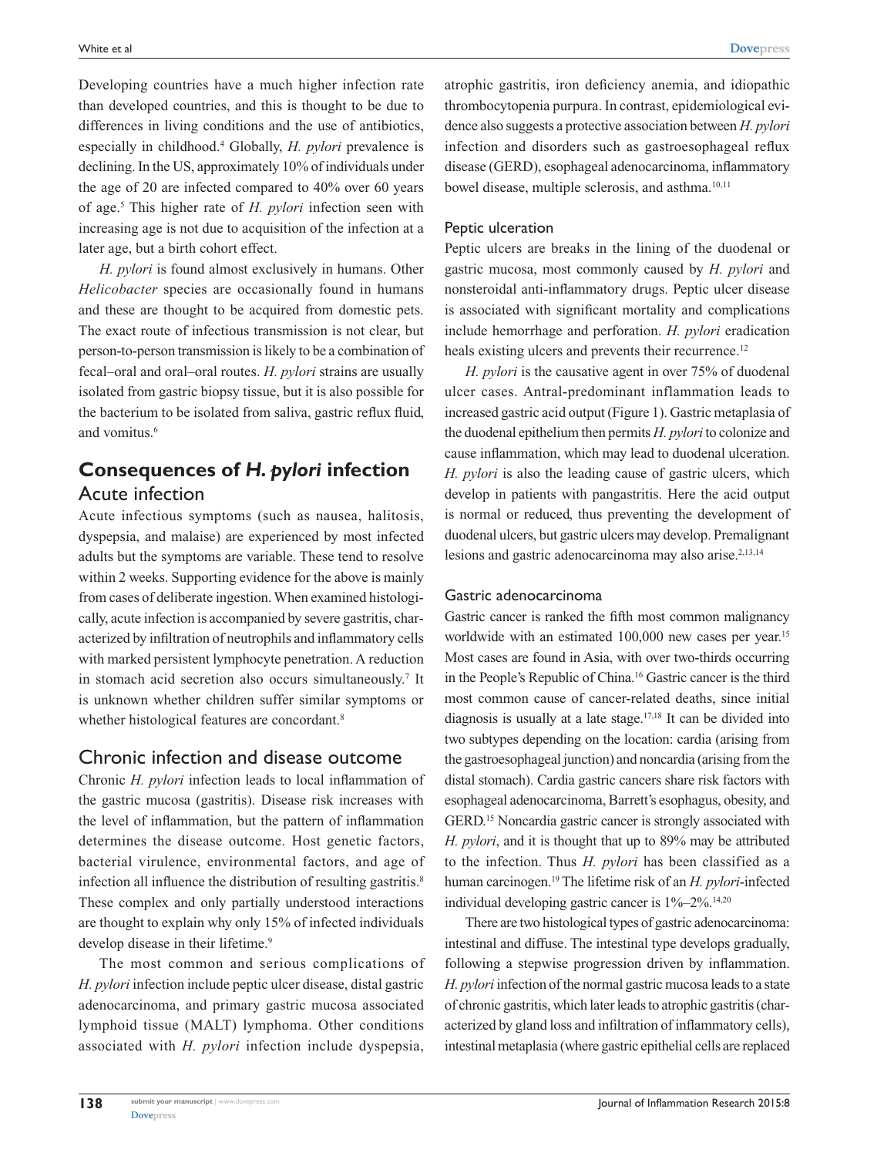Developing countries have a much higher infection rate than developed countries, and this is thought to be due to differences in living conditions and the use of antibiotics, especially in childhood.4 Globally, *H. pylori* prevalence is declining. In the US, approximately 10% of individuals under the age of 20 are infected compared to 40% over 60 years of age.5 This higher rate of *H. pylori* infection seen with increasing age is not due to acquisition of the infection at a later age, but a birth cohort effect.

*H. pylori* is found almost exclusively in humans. Other *Helicobacter* species are occasionally found in humans and these are thought to be acquired from domestic pets. The exact route of infectious transmission is not clear, but person-to-person transmission is likely to be a combination of fecal–oral and oral–oral routes. *H. pylori* strains are usually isolated from gastric biopsy tissue, but it is also possible for the bacterium to be isolated from saliva, gastric reflux fluid, and vomitus.<sup>6</sup>

# **Consequences of** *H. pylori* **infection** Acute infection

Acute infectious symptoms (such as nausea, halitosis, dyspepsia, and malaise) are experienced by most infected adults but the symptoms are variable. These tend to resolve within 2 weeks. Supporting evidence for the above is mainly from cases of deliberate ingestion. When examined histologically, acute infection is accompanied by severe gastritis, characterized by infiltration of neutrophils and inflammatory cells with marked persistent lymphocyte penetration. A reduction in stomach acid secretion also occurs simultaneously.<sup>7</sup> It is unknown whether children suffer similar symptoms or whether histological features are concordant.<sup>8</sup>

## Chronic infection and disease outcome

Chronic *H. pylori* infection leads to local inflammation of the gastric mucosa (gastritis). Disease risk increases with the level of inflammation, but the pattern of inflammation determines the disease outcome. Host genetic factors, bacterial virulence, environmental factors, and age of infection all influence the distribution of resulting gastritis.<sup>8</sup> These complex and only partially understood interactions are thought to explain why only 15% of infected individuals develop disease in their lifetime.<sup>9</sup>

The most common and serious complications of *H. pylori* infection include peptic ulcer disease, distal gastric adenocarcinoma, and primary gastric mucosa associated lymphoid tissue (MALT) lymphoma. Other conditions associated with *H. pylori* infection include dyspepsia, atrophic gastritis, iron deficiency anemia, and idiopathic thrombocytopenia purpura. In contrast, epidemiological evidence also suggests a protective association between *H. pylori* infection and disorders such as gastroesophageal reflux disease (GERD), esophageal adenocarcinoma, inflammatory bowel disease, multiple sclerosis, and asthma.<sup>10,11</sup>

### Peptic ulceration

Peptic ulcers are breaks in the lining of the duodenal or gastric mucosa, most commonly caused by *H. pylori* and nonsteroidal anti-inflammatory drugs. Peptic ulcer disease is associated with significant mortality and complications include hemorrhage and perforation. *H. pylori* eradication heals existing ulcers and prevents their recurrence.<sup>12</sup>

*H. pylori* is the causative agent in over 75% of duodenal ulcer cases. Antral-predominant inflammation leads to increased gastric acid output (Figure 1). Gastric metaplasia of the duodenal epithelium then permits *H. pylori* to colonize and cause inflammation, which may lead to duodenal ulceration. *H. pylori* is also the leading cause of gastric ulcers, which develop in patients with pangastritis. Here the acid output is normal or reduced, thus preventing the development of duodenal ulcers, but gastric ulcers may develop. Premalignant lesions and gastric adenocarcinoma may also arise.<sup>2,13,14</sup>

#### Gastric adenocarcinoma

Gastric cancer is ranked the fifth most common malignancy worldwide with an estimated 100,000 new cases per year.<sup>15</sup> Most cases are found in Asia, with over two-thirds occurring in the People's Republic of China.16 Gastric cancer is the third most common cause of cancer-related deaths, since initial diagnosis is usually at a late stage.17,18 It can be divided into two subtypes depending on the location: cardia (arising from the gastroesophageal junction) and noncardia (arising from the distal stomach). Cardia gastric cancers share risk factors with esophageal adenocarcinoma, Barrett's esophagus, obesity, and GERD.15 Noncardia gastric cancer is strongly associated with *H. pylori*, and it is thought that up to 89% may be attributed to the infection. Thus *H. pylori* has been classified as a human carcinogen.19 The lifetime risk of an *H. pylori*-infected individual developing gastric cancer is  $1\% - 2\%$ .<sup>14,20</sup>

There are two histological types of gastric adenocarcinoma: intestinal and diffuse. The intestinal type develops gradually, following a stepwise progression driven by inflammation. *H. pylori* infection of the normal gastric mucosa leads to a state of chronic gastritis, which later leads to atrophic gastritis (characterized by gland loss and infiltration of inflammatory cells), intestinal metaplasia (where gastric epithelial cells are replaced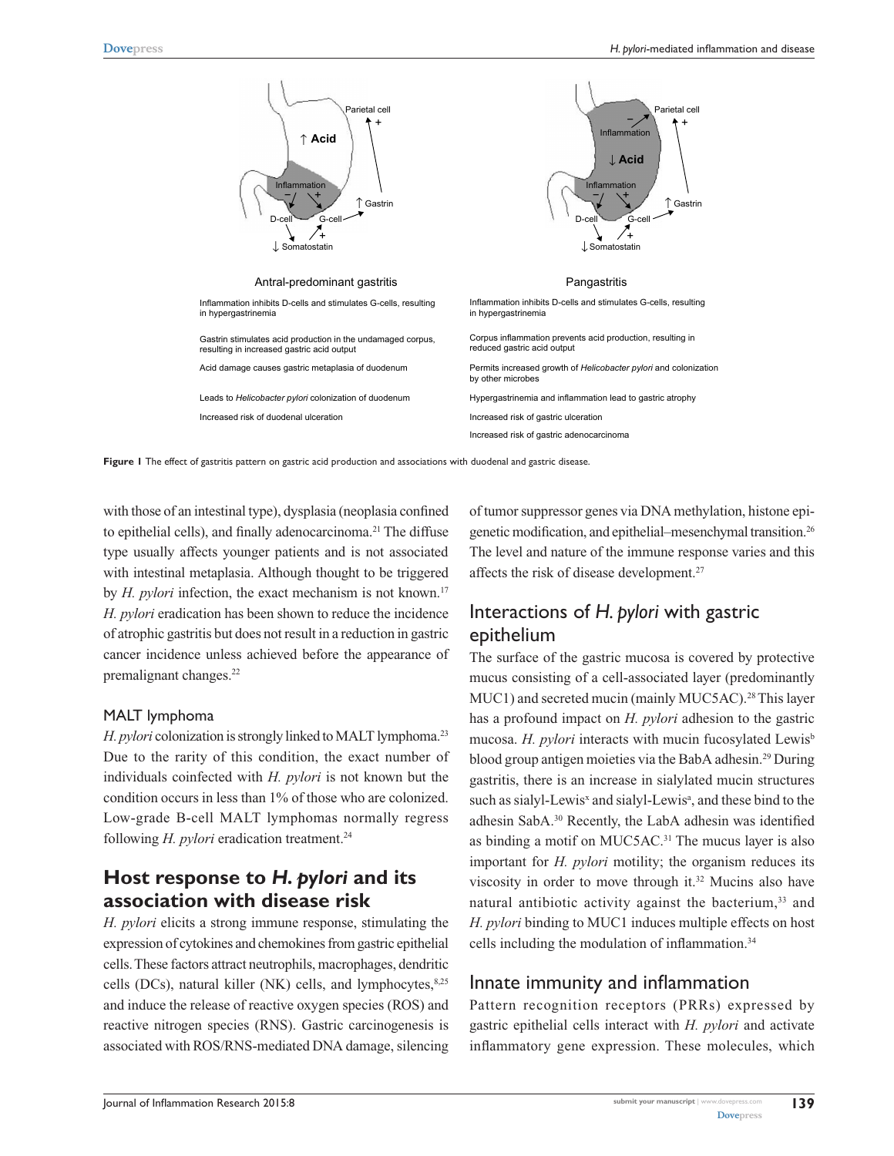

**Figure 1** The effect of gastritis pattern on gastric acid production and associations with duodenal and gastric disease.

with those of an intestinal type), dysplasia (neoplasia confined to epithelial cells), and finally adenocarcinoma.<sup>21</sup> The diffuse type usually affects younger patients and is not associated with intestinal metaplasia. Although thought to be triggered by *H. pylori* infection, the exact mechanism is not known.<sup>17</sup> *H. pylori* eradication has been shown to reduce the incidence of atrophic gastritis but does not result in a reduction in gastric cancer incidence unless achieved before the appearance of premalignant changes.<sup>22</sup>

#### MALT lymphoma

*H. pylori* colonization is strongly linked to MALT lymphoma.<sup>23</sup> Due to the rarity of this condition, the exact number of individuals coinfected with *H. pylori* is not known but the condition occurs in less than 1% of those who are colonized. Low-grade B-cell MALT lymphomas normally regress following *H. pylori* eradication treatment.<sup>24</sup>

## **Host response to** *H. pylori* **and its association with disease risk**

*H. pylori* elicits a strong immune response, stimulating the expression of cytokines and chemokines from gastric epithelial cells. These factors attract neutrophils, macrophages, dendritic cells (DCs), natural killer (NK) cells, and lymphocytes, $8,25$ and induce the release of reactive oxygen species (ROS) and reactive nitrogen species (RNS). Gastric carcinogenesis is associated with ROS/RNS-mediated DNA damage, silencing of tumor suppressor genes via DNA methylation, histone epigenetic modification, and epithelial–mesenchymal transition.26 The level and nature of the immune response varies and this affects the risk of disease development.27

# Interactions of *H. pylori* with gastric epithelium

The surface of the gastric mucosa is covered by protective mucus consisting of a cell-associated layer (predominantly MUC1) and secreted mucin (mainly MUC5AC).<sup>28</sup> This layer has a profound impact on *H. pylori* adhesion to the gastric mucosa. *H. pylori* interacts with mucin fucosylated Lewis<sup>b</sup> blood group antigen moieties via the BabA adhesin.29 During gastritis, there is an increase in sialylated mucin structures such as sialyl-Lewis<sup>x</sup> and sialyl-Lewis<sup>a</sup>, and these bind to the adhesin SabA.30 Recently, the LabA adhesin was identified as binding a motif on MUC5AC.<sup>31</sup> The mucus layer is also important for *H. pylori* motility; the organism reduces its viscosity in order to move through it.32 Mucins also have natural antibiotic activity against the bacterium,<sup>33</sup> and *H. pylori* binding to MUC1 induces multiple effects on host cells including the modulation of inflammation.34

## Innate immunity and inflammation

Pattern recognition receptors (PRRs) expressed by gastric epithelial cells interact with *H. pylori* and activate inflammatory gene expression. These molecules, which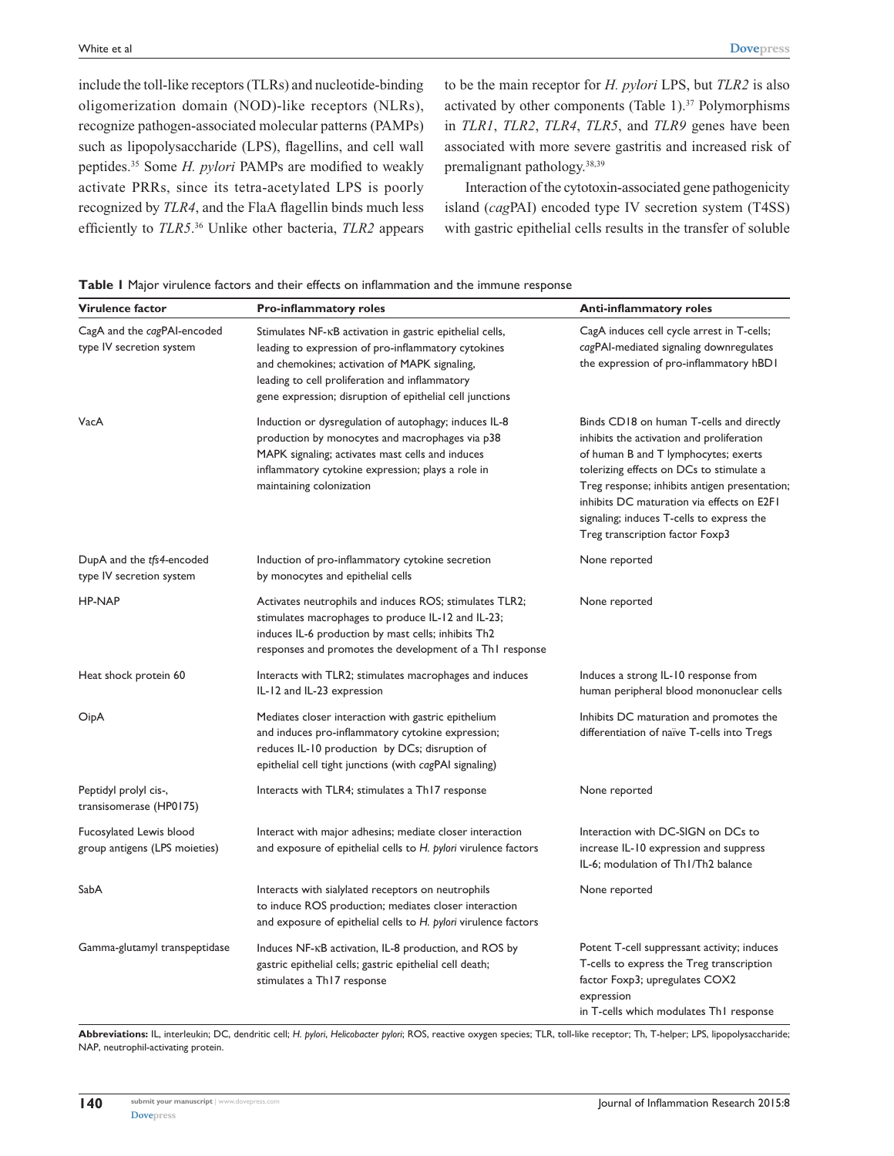include the toll-like receptors (TLRs) and nucleotide-binding oligomerization domain (NOD)-like receptors (NLRs), recognize pathogen-associated molecular patterns (PAMPs) such as lipopolysaccharide (LPS), flagellins, and cell wall peptides.35 Some *H. pylori* PAMPs are modified to weakly activate PRRs, since its tetra-acetylated LPS is poorly recognized by *TLR4*, and the FlaA flagellin binds much less efficiently to *TLR5*. 36 Unlike other bacteria, *TLR2* appears to be the main receptor for *H. pylori* LPS, but *TLR2* is also activated by other components (Table 1). $37$  Polymorphisms in *TLR1*, *TLR2*, *TLR4*, *TLR5*, and *TLR9* genes have been associated with more severe gastritis and increased risk of premalignant pathology.38,39

Interaction of the cytotoxin-associated gene pathogenicity island (*cag*PAI) encoded type IV secretion system (T4SS) with gastric epithelial cells results in the transfer of soluble

|  |  |  |  |  |  |  |  | <b>Table I</b> Major virulence factors and their effects on inflammation and the immune response |  |  |  |  |  |
|--|--|--|--|--|--|--|--|--------------------------------------------------------------------------------------------------|--|--|--|--|--|
|--|--|--|--|--|--|--|--|--------------------------------------------------------------------------------------------------|--|--|--|--|--|

| Virulence factor                                         | <b>Pro-inflammatory roles</b>                                                                                                                                                                                                                                                  | <b>Anti-inflammatory roles</b>                                                                                                                                                                                                                                                                                                                           |  |  |  |
|----------------------------------------------------------|--------------------------------------------------------------------------------------------------------------------------------------------------------------------------------------------------------------------------------------------------------------------------------|----------------------------------------------------------------------------------------------------------------------------------------------------------------------------------------------------------------------------------------------------------------------------------------------------------------------------------------------------------|--|--|--|
| CagA and the cagPAI-encoded<br>type IV secretion system  | Stimulates NF-KB activation in gastric epithelial cells,<br>leading to expression of pro-inflammatory cytokines<br>and chemokines; activation of MAPK signaling,<br>leading to cell proliferation and inflammatory<br>gene expression; disruption of epithelial cell junctions | CagA induces cell cycle arrest in T-cells;<br>cagPAI-mediated signaling downregulates<br>the expression of pro-inflammatory hBD1                                                                                                                                                                                                                         |  |  |  |
| VacA                                                     | Induction or dysregulation of autophagy; induces IL-8<br>production by monocytes and macrophages via p38<br>MAPK signaling; activates mast cells and induces<br>inflammatory cytokine expression; plays a role in<br>maintaining colonization                                  | Binds CD18 on human T-cells and directly<br>inhibits the activation and proliferation<br>of human B and T lymphocytes; exerts<br>tolerizing effects on DCs to stimulate a<br>Treg response; inhibits antigen presentation;<br>inhibits DC maturation via effects on E2F1<br>signaling; induces T-cells to express the<br>Treg transcription factor Foxp3 |  |  |  |
| DupA and the tfs4-encoded<br>type IV secretion system    | Induction of pro-inflammatory cytokine secretion<br>by monocytes and epithelial cells                                                                                                                                                                                          | None reported                                                                                                                                                                                                                                                                                                                                            |  |  |  |
| <b>HP-NAP</b>                                            | Activates neutrophils and induces ROS; stimulates TLR2;<br>stimulates macrophages to produce IL-12 and IL-23;<br>induces IL-6 production by mast cells; inhibits Th2<br>responses and promotes the development of a Th1 response                                               | None reported                                                                                                                                                                                                                                                                                                                                            |  |  |  |
| Heat shock protein 60                                    | Interacts with TLR2; stimulates macrophages and induces<br>IL-12 and IL-23 expression                                                                                                                                                                                          | Induces a strong IL-10 response from<br>human peripheral blood mononuclear cells                                                                                                                                                                                                                                                                         |  |  |  |
| OipA                                                     | Mediates closer interaction with gastric epithelium<br>and induces pro-inflammatory cytokine expression;<br>reduces IL-10 production by DCs; disruption of<br>epithelial cell tight junctions (with cagPAI signaling)                                                          | Inhibits DC maturation and promotes the<br>differentiation of naïve T-cells into Tregs                                                                                                                                                                                                                                                                   |  |  |  |
| Peptidyl prolyl cis-,<br>transisomerase (HP0175)         | Interacts with TLR4; stimulates a Th17 response                                                                                                                                                                                                                                | None reported                                                                                                                                                                                                                                                                                                                                            |  |  |  |
| Fucosylated Lewis blood<br>group antigens (LPS moieties) | Interact with major adhesins; mediate closer interaction<br>and exposure of epithelial cells to H. pylori virulence factors                                                                                                                                                    | Interaction with DC-SIGN on DCs to<br>increase IL-10 expression and suppress<br>IL-6; modulation of Th1/Th2 balance                                                                                                                                                                                                                                      |  |  |  |
| SabA                                                     | Interacts with sialylated receptors on neutrophils<br>to induce ROS production; mediates closer interaction<br>and exposure of epithelial cells to H. pylori virulence factors                                                                                                 | None reported                                                                                                                                                                                                                                                                                                                                            |  |  |  |
| Gamma-glutamyl transpeptidase                            | Induces NF-KB activation, IL-8 production, and ROS by<br>gastric epithelial cells; gastric epithelial cell death;<br>stimulates a Th17 response                                                                                                                                | Potent T-cell suppressant activity; induces<br>T-cells to express the Treg transcription<br>factor Foxp3; upregulates COX2<br>expression<br>in T-cells which modulates Th1 response                                                                                                                                                                      |  |  |  |

**Abbreviations:** IL, interleukin; DC, dendritic cell; *H. pylori*, *Helicobacter pylori*; ROS, reactive oxygen species; TLR, toll-like receptor; Th, T-helper; LPS, lipopolysaccharide; NAP, neutrophil-activating protein.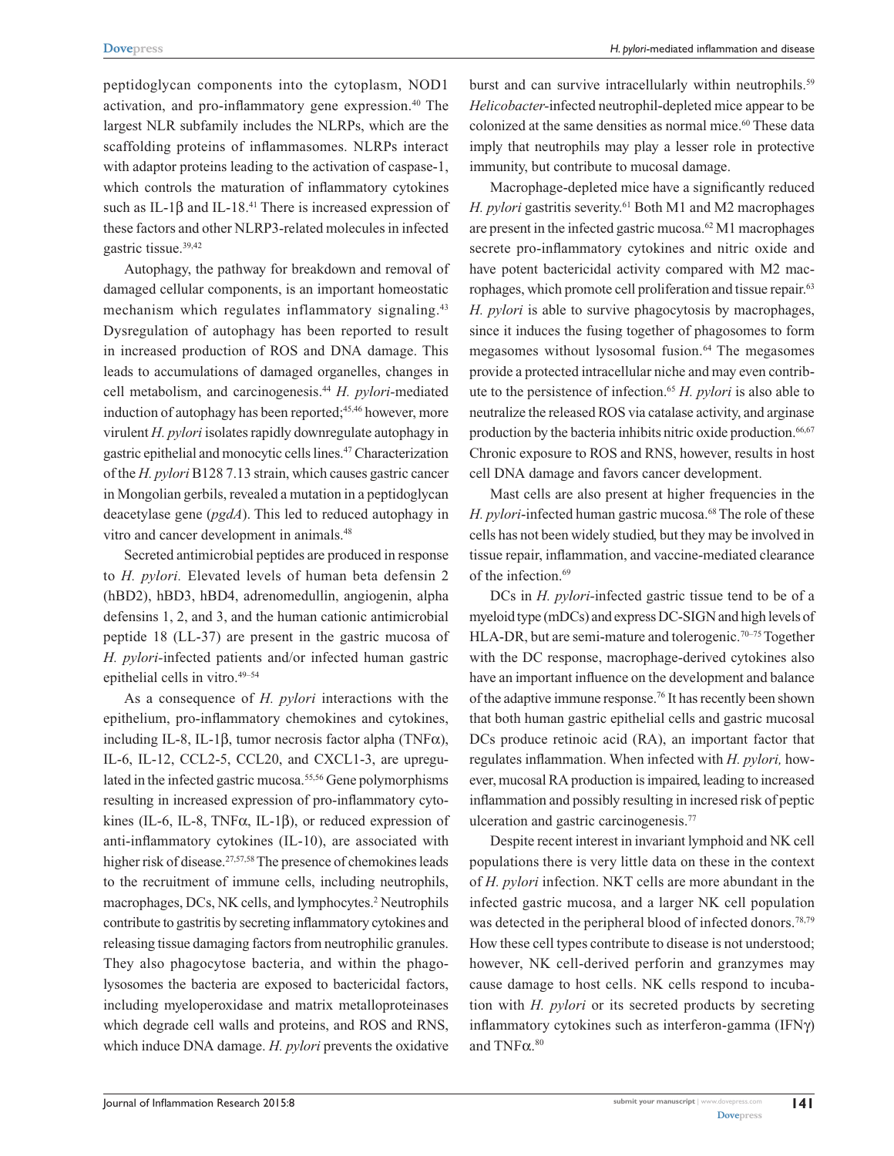peptidoglycan components into the cytoplasm, NOD1 activation, and pro-inflammatory gene expression.<sup>40</sup> The largest NLR subfamily includes the NLRPs, which are the scaffolding proteins of inflammasomes. NLRPs interact with adaptor proteins leading to the activation of caspase-1, which controls the maturation of inflammatory cytokines such as IL-1 $\beta$  and IL-18.<sup>41</sup> There is increased expression of these factors and other NLRP3-related molecules in infected gastric tissue.39,42

Autophagy, the pathway for breakdown and removal of damaged cellular components, is an important homeostatic mechanism which regulates inflammatory signaling.<sup>43</sup> Dysregulation of autophagy has been reported to result in increased production of ROS and DNA damage. This leads to accumulations of damaged organelles, changes in cell metabolism, and carcinogenesis.44 *H. pylori-*mediated induction of autophagy has been reported;<sup>45,46</sup> however, more virulent *H. pylori* isolates rapidly downregulate autophagy in gastric epithelial and monocytic cells lines.47 Characterization of the *H. pylori* B128 7.13 strain, which causes gastric cancer in Mongolian gerbils, revealed a mutation in a peptidoglycan deacetylase gene (*pgdA*). This led to reduced autophagy in vitro and cancer development in animals.<sup>48</sup>

Secreted antimicrobial peptides are produced in response to *H. pylori.* Elevated levels of human beta defensin 2 (hBD2), hBD3, hBD4, adrenomedullin, angiogenin, alpha defensins 1, 2, and 3, and the human cationic antimicrobial peptide 18 (LL-37) are present in the gastric mucosa of *H. pylori-*infected patients and/or infected human gastric epithelial cells in vitro.49–54

As a consequence of *H. pylori* interactions with the epithelium, pro-inflammatory chemokines and cytokines, including IL-8, IL-1β, tumor necrosis factor alpha (TNFα), IL-6, IL-12, CCL2-5, CCL20, and CXCL1-3, are upregulated in the infected gastric mucosa.55,56 Gene polymorphisms resulting in increased expression of pro-inflammatory cytokines (IL-6, IL-8, TNF $\alpha$ , IL-1 $\beta$ ), or reduced expression of anti-inflammatory cytokines (IL-10), are associated with higher risk of disease.<sup>27,57,58</sup> The presence of chemokines leads to the recruitment of immune cells, including neutrophils, macrophages, DCs, NK cells, and lymphocytes.<sup>2</sup> Neutrophils contribute to gastritis by secreting inflammatory cytokines and releasing tissue damaging factors from neutrophilic granules. They also phagocytose bacteria, and within the phagolysosomes the bacteria are exposed to bactericidal factors, including myeloperoxidase and matrix metalloproteinases which degrade cell walls and proteins, and ROS and RNS, which induce DNA damage. *H. pylori* prevents the oxidative

burst and can survive intracellularly within neutrophils.<sup>59</sup> *Helicobacter-*infected neutrophil-depleted mice appear to be colonized at the same densities as normal mice.<sup>60</sup> These data imply that neutrophils may play a lesser role in protective immunity, but contribute to mucosal damage.

Macrophage-depleted mice have a significantly reduced *H. pylori* gastritis severity.61 Both M1 and M2 macrophages are present in the infected gastric mucosa.62 M1 macrophages secrete pro-inflammatory cytokines and nitric oxide and have potent bactericidal activity compared with M2 macrophages, which promote cell proliferation and tissue repair.<sup>63</sup> *H. pylori* is able to survive phagocytosis by macrophages, since it induces the fusing together of phagosomes to form megasomes without lysosomal fusion.<sup>64</sup> The megasomes provide a protected intracellular niche and may even contribute to the persistence of infection.65 *H. pylori* is also able to neutralize the released ROS via catalase activity, and arginase production by the bacteria inhibits nitric oxide production.<sup>66,67</sup> Chronic exposure to ROS and RNS, however, results in host cell DNA damage and favors cancer development.

Mast cells are also present at higher frequencies in the *H. pylori*-infected human gastric mucosa.<sup>68</sup> The role of these cells has not been widely studied, but they may be involved in tissue repair, inflammation, and vaccine-mediated clearance of the infection.<sup>69</sup>

DCs in *H. pylori-*infected gastric tissue tend to be of a myeloid type (mDCs) and express DC-SIGN and high levels of HLA-DR, but are semi-mature and tolerogenic.<sup>70–75</sup> Together with the DC response, macrophage-derived cytokines also have an important influence on the development and balance of the adaptive immune response.76 It has recently been shown that both human gastric epithelial cells and gastric mucosal DCs produce retinoic acid (RA), an important factor that regulates inflammation. When infected with *H. pylori,* however, mucosal RA production is impaired, leading to increased inflammation and possibly resulting in incresed risk of peptic ulceration and gastric carcinogenesis.77

Despite recent interest in invariant lymphoid and NK cell populations there is very little data on these in the context of *H. pylori* infection. NKT cells are more abundant in the infected gastric mucosa, and a larger NK cell population was detected in the peripheral blood of infected donors.<sup>78,79</sup> How these cell types contribute to disease is not understood; however, NK cell-derived perforin and granzymes may cause damage to host cells. NK cells respond to incubation with *H. pylori* or its secreted products by secreting inflammatory cytokines such as interferon-gamma (IFNγ) and TNFα. 80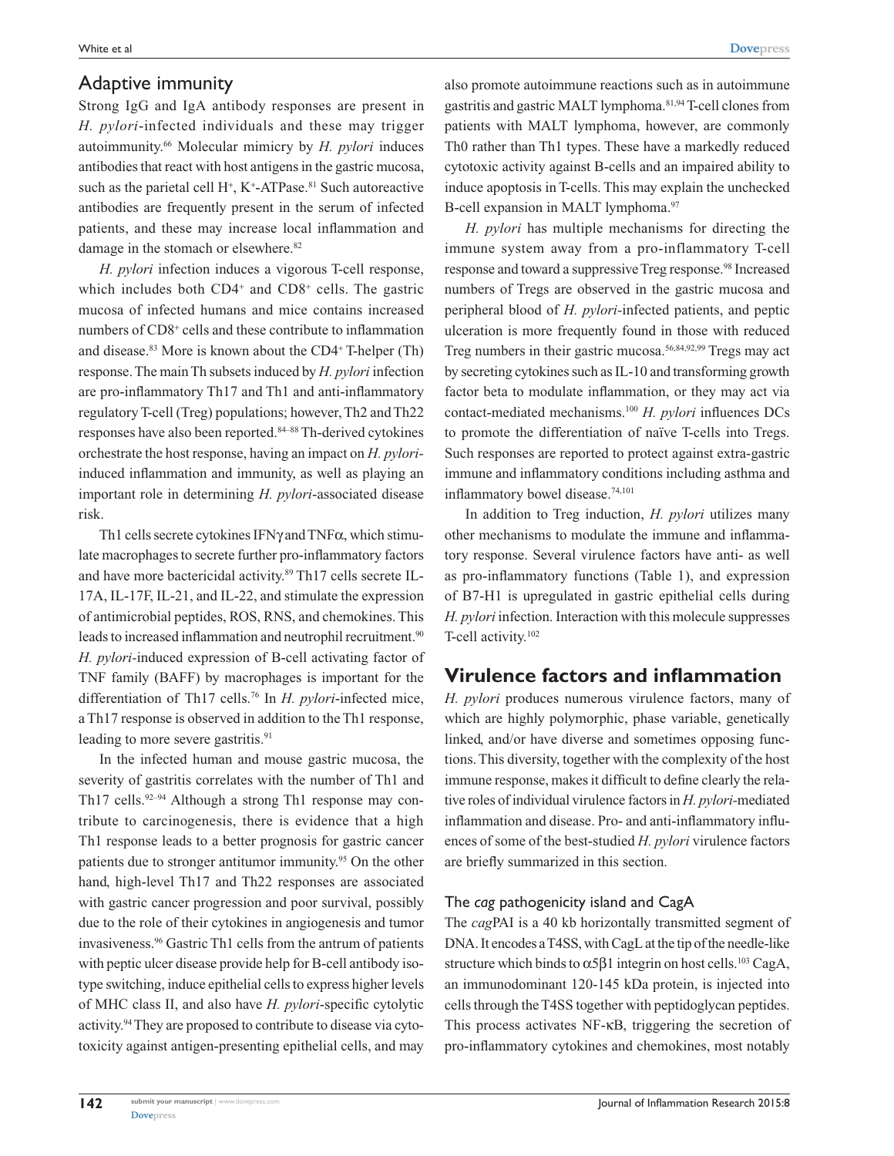## Adaptive immunity

Strong IgG and IgA antibody responses are present in *H. pylori*-infected individuals and these may trigger autoimmunity.66 Molecular mimicry by *H. pylori* induces antibodies that react with host antigens in the gastric mucosa, such as the parietal cell  $H^+$ ,  $K^+$ -ATPase.<sup>81</sup> Such autoreactive antibodies are frequently present in the serum of infected patients, and these may increase local inflammation and damage in the stomach or elsewhere.<sup>82</sup>

*H. pylori* infection induces a vigorous T-cell response, which includes both CD4<sup>+</sup> and CD8<sup>+</sup> cells. The gastric mucosa of infected humans and mice contains increased numbers of CD8<sup>+</sup> cells and these contribute to inflammation and disease.<sup>83</sup> More is known about the CD4<sup>+</sup> T-helper (Th) response. The main Th subsets induced by *H. pylori* infection are pro-inflammatory Th17 and Th1 and anti-inflammatory regulatory T-cell (Treg) populations; however, Th2 and Th22 responses have also been reported.84–88 Th-derived cytokines orchestrate the host response, having an impact on *H. pylori*induced inflammation and immunity, as well as playing an important role in determining *H. pylori*-associated disease risk.

Th1 cells secrete cytokines IFNγ and TNFα, which stimulate macrophages to secrete further pro-inflammatory factors and have more bactericidal activity.89 Th17 cells secrete IL-17A, IL-17F, IL-21, and IL-22, and stimulate the expression of antimicrobial peptides, ROS, RNS, and chemokines. This leads to increased inflammation and neutrophil recruitment.<sup>90</sup> *H. pylori-*induced expression of B-cell activating factor of TNF family (BAFF) by macrophages is important for the differentiation of Th17 cells.76 In *H. pylori*-infected mice, a Th17 response is observed in addition to the Th1 response, leading to more severe gastritis.<sup>91</sup>

In the infected human and mouse gastric mucosa, the severity of gastritis correlates with the number of Th1 and Th17 cells.<sup>92-94</sup> Although a strong Th1 response may contribute to carcinogenesis, there is evidence that a high Th1 response leads to a better prognosis for gastric cancer patients due to stronger antitumor immunity.<sup>95</sup> On the other hand, high-level Th17 and Th22 responses are associated with gastric cancer progression and poor survival, possibly due to the role of their cytokines in angiogenesis and tumor invasiveness.96 Gastric Th1 cells from the antrum of patients with peptic ulcer disease provide help for B-cell antibody isotype switching, induce epithelial cells to express higher levels of MHC class II, and also have *H. pylori*-specific cytolytic activity.94 They are proposed to contribute to disease via cytotoxicity against antigen-presenting epithelial cells, and may also promote autoimmune reactions such as in autoimmune gastritis and gastric MALT lymphoma.81,94 T-cell clones from patients with MALT lymphoma, however, are commonly Th0 rather than Th1 types. These have a markedly reduced cytotoxic activity against B-cells and an impaired ability to induce apoptosis in T-cells. This may explain the unchecked B-cell expansion in MALT lymphoma.<sup>97</sup>

*H. pylori* has multiple mechanisms for directing the immune system away from a pro-inflammatory T-cell response and toward a suppressive Treg response.<sup>98</sup> Increased numbers of Tregs are observed in the gastric mucosa and peripheral blood of *H. pylori-*infected patients, and peptic ulceration is more frequently found in those with reduced Treg numbers in their gastric mucosa.56,84,92,99 Tregs may act by secreting cytokines such as IL-10 and transforming growth factor beta to modulate inflammation, or they may act via contact-mediated mechanisms.100 *H. pylori* influences DCs to promote the differentiation of naïve T-cells into Tregs. Such responses are reported to protect against extra-gastric immune and inflammatory conditions including asthma and inflammatory bowel disease.74,101

In addition to Treg induction, *H. pylori* utilizes many other mechanisms to modulate the immune and inflammatory response. Several virulence factors have anti- as well as pro-inflammatory functions (Table 1), and expression of B7-H1 is upregulated in gastric epithelial cells during *H. pylori* infection. Interaction with this molecule suppresses T-cell activity.102

## **Virulence factors and inflammation**

*H. pylori* produces numerous virulence factors, many of which are highly polymorphic, phase variable, genetically linked, and/or have diverse and sometimes opposing functions. This diversity, together with the complexity of the host immune response, makes it difficult to define clearly the relative roles of individual virulence factors in *H. pylori-*mediated inflammation and disease. Pro- and anti-inflammatory influences of some of the best-studied *H. pylori* virulence factors are briefly summarized in this section.

#### The *cag* pathogenicity island and CagA

The *cag*PAI is a 40 kb horizontally transmitted segment of DNA. It encodes a T4SS, with CagL at the tip of the needle-like structure which binds to  $\alpha$ 5β1 integrin on host cells.<sup>103</sup> CagA, an immunodominant 120-145 kDa protein, is injected into cells through the T4SS together with peptidoglycan peptides. This process activates NF-κB, triggering the secretion of pro-inflammatory cytokines and chemokines, most notably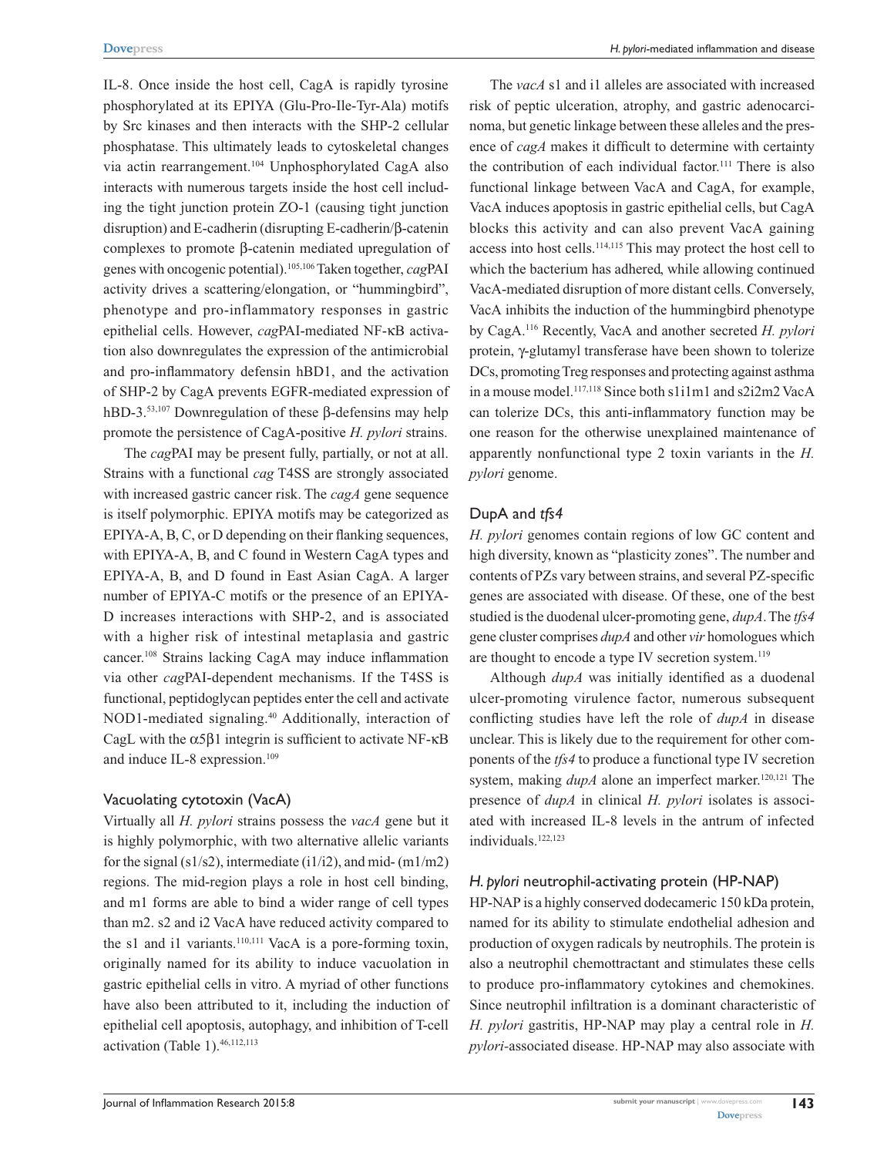IL-8. Once inside the host cell, CagA is rapidly tyrosine phosphorylated at its EPIYA (Glu-Pro-Ile-Tyr-Ala) motifs by Src kinases and then interacts with the SHP-2 cellular phosphatase. This ultimately leads to cytoskeletal changes via actin rearrangement.104 Unphosphorylated CagA also interacts with numerous targets inside the host cell including the tight junction protein ZO-1 (causing tight junction disruption) and E-cadherin (disrupting E-cadherin/β-catenin complexes to promote β-catenin mediated upregulation of genes with oncogenic potential).105,106 Taken together, *cag*PAI activity drives a scattering/elongation, or "hummingbird", phenotype and pro-inflammatory responses in gastric epithelial cells. However, *cag*PAI-mediated NF-κB activation also downregulates the expression of the antimicrobial and pro-inflammatory defensin hBD1, and the activation of SHP-2 by CagA prevents EGFR-mediated expression of hBD-3.53,107 Downregulation of these β-defensins may help promote the persistence of CagA-positive *H. pylori* strains.

The *cag*PAI may be present fully, partially, or not at all. Strains with a functional *cag* T4SS are strongly associated with increased gastric cancer risk. The *cagA* gene sequence is itself polymorphic. EPIYA motifs may be categorized as EPIYA-A, B, C, or D depending on their flanking sequences, with EPIYA-A, B, and C found in Western CagA types and EPIYA-A, B, and D found in East Asian CagA. A larger number of EPIYA-C motifs or the presence of an EPIYA-D increases interactions with SHP-2, and is associated with a higher risk of intestinal metaplasia and gastric cancer.108 Strains lacking CagA may induce inflammation via other *cag*PAI-dependent mechanisms. If the T4SS is functional, peptidoglycan peptides enter the cell and activate NOD1-mediated signaling.40 Additionally, interaction of CagL with the  $α5β1$  integrin is sufficient to activate NF- $κB$ and induce IL-8 expression.<sup>109</sup>

#### Vacuolating cytotoxin (VacA)

Virtually all *H. pylori* strains possess the *vacA* gene but it is highly polymorphic, with two alternative allelic variants for the signal (s1/s2), intermediate (i1/i2), and mid-  $(m1/m2)$ regions. The mid-region plays a role in host cell binding, and m1 forms are able to bind a wider range of cell types than m2. s2 and i2 VacA have reduced activity compared to the s1 and i1 variants.<sup>110,111</sup> VacA is a pore-forming toxin, originally named for its ability to induce vacuolation in gastric epithelial cells in vitro. A myriad of other functions have also been attributed to it, including the induction of epithelial cell apoptosis, autophagy, and inhibition of T-cell activation (Table 1).<sup>46,112,113</sup>

The *vacA* s1 and i1 alleles are associated with increased risk of peptic ulceration, atrophy, and gastric adenocarcinoma, but genetic linkage between these alleles and the presence of *cagA* makes it difficult to determine with certainty the contribution of each individual factor.<sup>111</sup> There is also functional linkage between VacA and CagA, for example, VacA induces apoptosis in gastric epithelial cells, but CagA blocks this activity and can also prevent VacA gaining access into host cells.114,115 This may protect the host cell to which the bacterium has adhered, while allowing continued VacA-mediated disruption of more distant cells. Conversely, VacA inhibits the induction of the hummingbird phenotype by CagA.116 Recently, VacA and another secreted *H. pylori* protein, γ-glutamyl transferase have been shown to tolerize DCs, promoting Treg responses and protecting against asthma in a mouse model.<sup>117,118</sup> Since both s1i1m1 and s2i2m2 VacA can tolerize DCs, this anti-inflammatory function may be one reason for the otherwise unexplained maintenance of apparently nonfunctional type 2 toxin variants in the *H. pylori* genome.

#### DupA and *tfs4*

*H. pylori* genomes contain regions of low GC content and high diversity, known as "plasticity zones". The number and contents of PZs vary between strains, and several PZ-specific genes are associated with disease. Of these, one of the best studied is the duodenal ulcer-promoting gene, *dupA*. The *tfs4* gene cluster comprises *dupA* and other *vir* homologues which are thought to encode a type IV secretion system.<sup>119</sup>

Although *dupA* was initially identified as a duodenal ulcer-promoting virulence factor, numerous subsequent conflicting studies have left the role of *dupA* in disease unclear. This is likely due to the requirement for other components of the *tfs4* to produce a functional type IV secretion system, making *dupA* alone an imperfect marker.<sup>120,121</sup> The presence of *dupA* in clinical *H. pylori* isolates is associated with increased IL-8 levels in the antrum of infected individuals.122,123

#### *H. pylori* neutrophil-activating protein (HP-NAP)

HP-NAP is a highly conserved dodecameric 150 kDa protein, named for its ability to stimulate endothelial adhesion and production of oxygen radicals by neutrophils. The protein is also a neutrophil chemottractant and stimulates these cells to produce pro-inflammatory cytokines and chemokines. Since neutrophil infiltration is a dominant characteristic of *H. pylori* gastritis, HP-NAP may play a central role in *H. pylori-*associated disease. HP-NAP may also associate with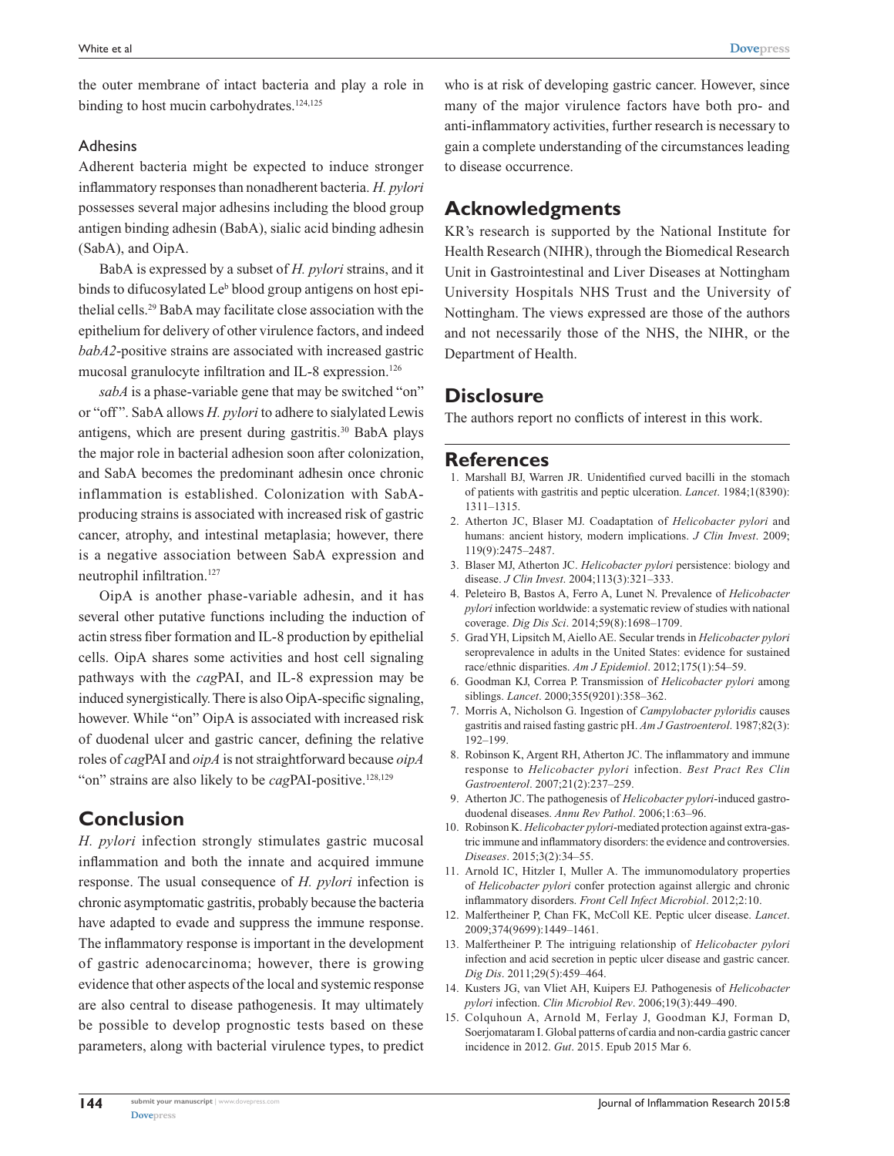the outer membrane of intact bacteria and play a role in binding to host mucin carbohydrates.<sup>124,125</sup>

#### Adhesins

Adherent bacteria might be expected to induce stronger inflammatory responses than nonadherent bacteria. *H. pylori* possesses several major adhesins including the blood group antigen binding adhesin (BabA), sialic acid binding adhesin (SabA), and OipA.

BabA is expressed by a subset of *H. pylori* strains, and it binds to difucosylated Le<sup>b</sup> blood group antigens on host epithelial cells.29 BabA may facilitate close association with the epithelium for delivery of other virulence factors, and indeed *babA2*-positive strains are associated with increased gastric mucosal granulocyte infiltration and IL-8 expression.<sup>126</sup>

*sabA* is a phase-variable gene that may be switched "on" or "off ". SabA allows *H. pylori* to adhere to sialylated Lewis antigens, which are present during gastritis.<sup>30</sup> BabA plays the major role in bacterial adhesion soon after colonization, and SabA becomes the predominant adhesin once chronic inflammation is established. Colonization with SabAproducing strains is associated with increased risk of gastric cancer, atrophy, and intestinal metaplasia; however, there is a negative association between SabA expression and neutrophil infiltration.<sup>127</sup>

OipA is another phase-variable adhesin, and it has several other putative functions including the induction of actin stress fiber formation and IL-8 production by epithelial cells. OipA shares some activities and host cell signaling pathways with the *cag*PAI, and IL-8 expression may be induced synergistically. There is also OipA-specific signaling, however. While "on" OipA is associated with increased risk of duodenal ulcer and gastric cancer, defining the relative roles of *cag*PAI and *oipA* is not straightforward because *oipA* "on" strains are also likely to be *cagPAI-positive*.<sup>128,129</sup>

## **Conclusion**

*H. pylori* infection strongly stimulates gastric mucosal inflammation and both the innate and acquired immune response. The usual consequence of *H. pylori* infection is chronic asymptomatic gastritis, probably because the bacteria have adapted to evade and suppress the immune response. The inflammatory response is important in the development of gastric adenocarcinoma; however, there is growing evidence that other aspects of the local and systemic response are also central to disease pathogenesis. It may ultimately be possible to develop prognostic tests based on these parameters, along with bacterial virulence types, to predict

who is at risk of developing gastric cancer. However, since many of the major virulence factors have both pro- and anti-inflammatory activities, further research is necessary to gain a complete understanding of the circumstances leading to disease occurrence.

## **Acknowledgments**

KR's research is supported by the National Institute for Health Research (NIHR), through the Biomedical Research Unit in Gastrointestinal and Liver Diseases at Nottingham University Hospitals NHS Trust and the University of Nottingham. The views expressed are those of the authors and not necessarily those of the NHS, the NIHR, or the Department of Health.

## **Disclosure**

The authors report no conflicts of interest in this work.

#### **References**

- 1. Marshall BJ, Warren JR. Unidentified curved bacilli in the stomach of patients with gastritis and peptic ulceration. *Lancet*. 1984;1(8390): 1311–1315.
- 2. Atherton JC, Blaser MJ. Coadaptation of *Helicobacter pylori* and humans: ancient history, modern implications. *J Clin Invest*. 2009; 119(9):2475–2487.
- 3. Blaser MJ, Atherton JC. *Helicobacter pylori* persistence: biology and disease. *J Clin Invest*. 2004;113(3):321–333.
- 4. Peleteiro B, Bastos A, Ferro A, Lunet N. Prevalence of *Helicobacter pylori* infection worldwide: a systematic review of studies with national coverage. *Dig Dis Sci*. 2014;59(8):1698–1709.
- 5. Grad YH, Lipsitch M, Aiello AE. Secular trends in *Helicobacter pylori* seroprevalence in adults in the United States: evidence for sustained race/ethnic disparities. *Am J Epidemiol*. 2012;175(1):54–59.
- 6. Goodman KJ, Correa P. Transmission of *Helicobacter pylori* among siblings. *Lancet*. 2000;355(9201):358–362.
- 7. Morris A, Nicholson G. Ingestion of *Campylobacter pyloridis* causes gastritis and raised fasting gastric pH. *Am J Gastroenterol*. 1987;82(3): 192–199.
- 8. Robinson K, Argent RH, Atherton JC. The inflammatory and immune response to *Helicobacter pylori* infection. *Best Pract Res Clin Gastroenterol*. 2007;21(2):237–259.
- 9. Atherton JC. The pathogenesis of *Helicobacter pylori*-induced gastroduodenal diseases. *Annu Rev Pathol*. 2006;1:63–96.
- 10. Robinson K. *Helicobacter pylori*-mediated protection against extra-gastric immune and inflammatory disorders: the evidence and controversies. *Diseases*. 2015;3(2):34–55.
- 11. Arnold IC, Hitzler I, Muller A. The immunomodulatory properties of *Helicobacter pylori* confer protection against allergic and chronic inflammatory disorders. *Front Cell Infect Microbiol*. 2012;2:10.
- 12. Malfertheiner P, Chan FK, McColl KE. Peptic ulcer disease. *Lancet*. 2009;374(9699):1449–1461.
- 13. Malfertheiner P. The intriguing relationship of *Helicobacter pylori* infection and acid secretion in peptic ulcer disease and gastric cancer. *Dig Dis*. 2011;29(5):459–464.
- 14. Kusters JG, van Vliet AH, Kuipers EJ. Pathogenesis of *Helicobacter pylori* infection. *Clin Microbiol Rev*. 2006;19(3):449–490.
- 15. Colquhoun A, Arnold M, Ferlay J, Goodman KJ, Forman D, Soerjomataram I. Global patterns of cardia and non-cardia gastric cancer incidence in 2012. *Gut*. 2015. Epub 2015 Mar 6.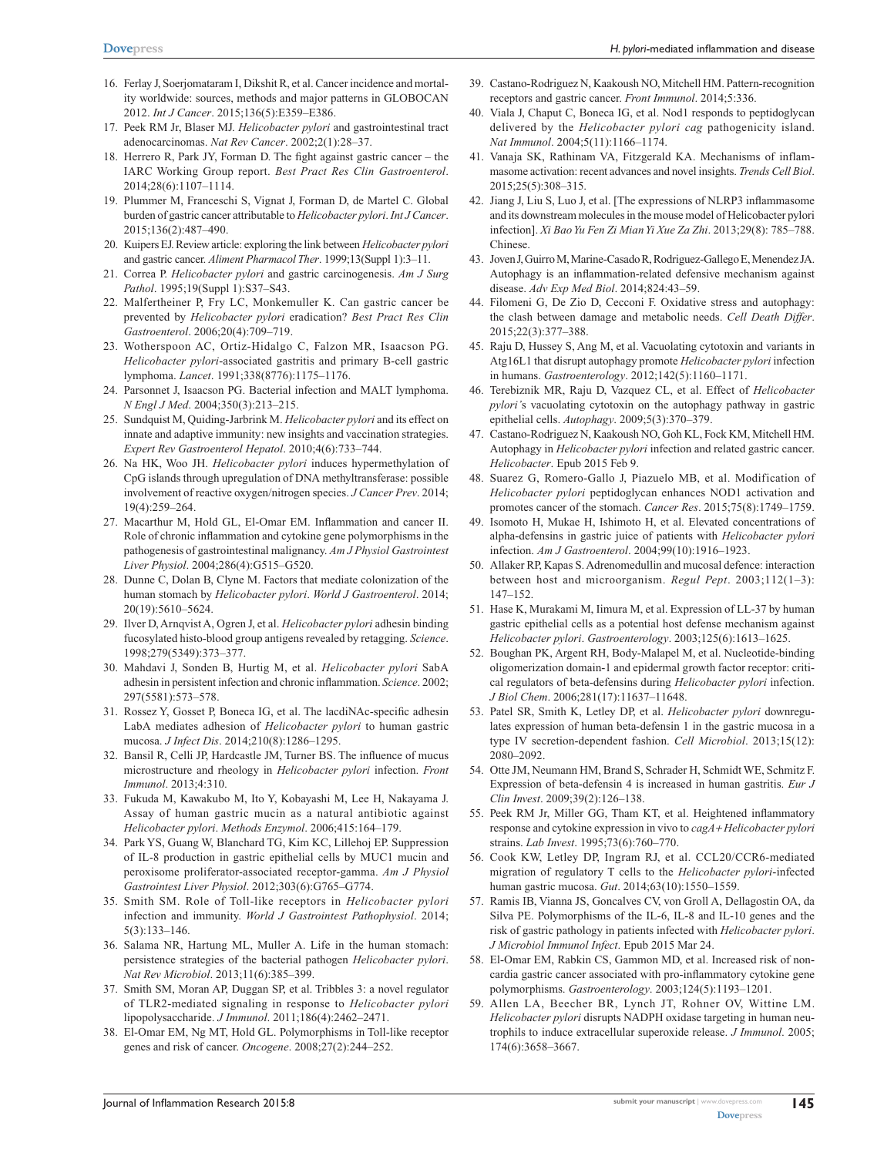- 16. Ferlay J, Soerjomataram I, Dikshit R, et al. Cancer incidence and mortality worldwide: sources, methods and major patterns in GLOBOCAN 2012. *Int J Cancer*. 2015;136(5):E359–E386.
- 17. Peek RM Jr, Blaser MJ. *Helicobacter pylori* and gastrointestinal tract adenocarcinomas. *Nat Rev Cancer*. 2002;2(1):28–37.
- 18. Herrero R, Park JY, Forman D. The fight against gastric cancer the IARC Working Group report. *Best Pract Res Clin Gastroenterol*. 2014;28(6):1107–1114.
- 19. Plummer M, Franceschi S, Vignat J, Forman D, de Martel C. Global burden of gastric cancer attributable to *Helicobacter pylori*. *Int J Cancer*. 2015;136(2):487–490.
- 20. Kuipers EJ. Review article: exploring the link between *Helicobacter pylori* and gastric cancer. *Aliment Pharmacol Ther*. 1999;13(Suppl 1):3–11.
- 21. Correa P. *Helicobacter pylori* and gastric carcinogenesis. *Am J Surg Pathol*. 1995;19(Suppl 1):S37–S43.
- 22. Malfertheiner P, Fry LC, Monkemuller K. Can gastric cancer be prevented by *Helicobacter pylori* eradication? *Best Pract Res Clin Gastroenterol*. 2006;20(4):709–719.
- 23. Wotherspoon AC, Ortiz-Hidalgo C, Falzon MR, Isaacson PG. *Helicobacter pylori*-associated gastritis and primary B-cell gastric lymphoma. *Lancet*. 1991;338(8776):1175–1176.
- 24. Parsonnet J, Isaacson PG. Bacterial infection and MALT lymphoma. *N Engl J Med*. 2004;350(3):213–215.
- 25. Sundquist M, Quiding-Jarbrink M. *Helicobacter pylori* and its effect on innate and adaptive immunity: new insights and vaccination strategies. *Expert Rev Gastroenterol Hepatol*. 2010;4(6):733–744.
- 26. Na HK, Woo JH. *Helicobacter pylori* induces hypermethylation of CpG islands through upregulation of DNA methyltransferase: possible involvement of reactive oxygen/nitrogen species. *J Cancer Prev*. 2014; 19(4):259–264.
- 27. Macarthur M, Hold GL, El-Omar EM. Inflammation and cancer II. Role of chronic inflammation and cytokine gene polymorphisms in the pathogenesis of gastrointestinal malignancy. *Am J Physiol Gastrointest Liver Physiol*. 2004;286(4):G515–G520.
- 28. Dunne C, Dolan B, Clyne M. Factors that mediate colonization of the human stomach by *Helicobacter pylori*. *World J Gastroenterol*. 2014; 20(19):5610–5624.
- 29. Ilver D, Arnqvist A, Ogren J, et al. *Helicobacter pylori* adhesin binding fucosylated histo-blood group antigens revealed by retagging. *Science*. 1998;279(5349):373–377.
- 30. Mahdavi J, Sonden B, Hurtig M, et al. *Helicobacter pylori* SabA adhesin in persistent infection and chronic inflammation. *Science*. 2002; 297(5581):573–578.
- 31. Rossez Y, Gosset P, Boneca IG, et al. The lacdiNAc-specific adhesin LabA mediates adhesion of *Helicobacter pylori* to human gastric mucosa. *J Infect Dis*. 2014;210(8):1286–1295.
- 32. Bansil R, Celli JP, Hardcastle JM, Turner BS. The influence of mucus microstructure and rheology in *Helicobacter pylori* infection. *Front Immunol*. 2013;4:310.
- 33. Fukuda M, Kawakubo M, Ito Y, Kobayashi M, Lee H, Nakayama J. Assay of human gastric mucin as a natural antibiotic against *Helicobacter pylori*. *Methods Enzymol*. 2006;415:164–179.
- 34. Park YS, Guang W, Blanchard TG, Kim KC, Lillehoj EP. Suppression of IL-8 production in gastric epithelial cells by MUC1 mucin and peroxisome proliferator-associated receptor-gamma. *Am J Physiol Gastrointest Liver Physiol*. 2012;303(6):G765–G774.
- 35. Smith SM. Role of Toll-like receptors in *Helicobacter pylori* infection and immunity. *World J Gastrointest Pathophysiol*. 2014; 5(3):133–146.
- 36. Salama NR, Hartung ML, Muller A. Life in the human stomach: persistence strategies of the bacterial pathogen *Helicobacter pylori*. *Nat Rev Microbiol*. 2013;11(6):385–399.
- 37. Smith SM, Moran AP, Duggan SP, et al. Tribbles 3: a novel regulator of TLR2-mediated signaling in response to *Helicobacter pylori* lipopolysaccharide. *J Immunol*. 2011;186(4):2462–2471.
- 38. El-Omar EM, Ng MT, Hold GL. Polymorphisms in Toll-like receptor genes and risk of cancer. *Oncogene*. 2008;27(2):244–252.
- 39. Castano-Rodriguez N, Kaakoush NO, Mitchell HM. Pattern-recognition receptors and gastric cancer. *Front Immunol*. 2014;5:336.
- 40. Viala J, Chaput C, Boneca IG, et al. Nod1 responds to peptidoglycan delivered by the *Helicobacter pylori cag* pathogenicity island. *Nat Immunol*. 2004;5(11):1166–1174.
- 41. Vanaja SK, Rathinam VA, Fitzgerald KA. Mechanisms of inflammasome activation: recent advances and novel insights. *Trends Cell Biol*. 2015;25(5):308–315.
- 42. Jiang J, Liu S, Luo J, et al. [The expressions of NLRP3 inflammasome and its downstream molecules in the mouse model of Helicobacter pylori infection]. *Xi Bao Yu Fen Zi Mian Yi Xue Za Zhi*. 2013;29(8): 785–788. Chinese.
- 43. Joven J, Guirro M, Marine-Casado R, Rodriguez-Gallego E, Menendez JA. Autophagy is an inflammation-related defensive mechanism against disease. *Adv Exp Med Biol*. 2014;824:43–59.
- 44. Filomeni G, De Zio D, Cecconi F. Oxidative stress and autophagy: the clash between damage and metabolic needs. *Cell Death Differ*. 2015;22(3):377–388.
- 45. Raju D, Hussey S, Ang M, et al. Vacuolating cytotoxin and variants in Atg16L1 that disrupt autophagy promote *Helicobacter pylori* infection in humans. *Gastroenterology*. 2012;142(5):1160–1171.
- 46. Terebiznik MR, Raju D, Vazquez CL, et al. Effect of *Helicobacter pylori'*s vacuolating cytotoxin on the autophagy pathway in gastric epithelial cells. *Autophagy*. 2009;5(3):370–379.
- 47. Castano-Rodriguez N, Kaakoush NO, Goh KL, Fock KM, Mitchell HM. Autophagy in *Helicobacter pylori* infection and related gastric cancer. *Helicobacter*. Epub 2015 Feb 9.
- 48. Suarez G, Romero-Gallo J, Piazuelo MB, et al. Modification of *Helicobacter pylori* peptidoglycan enhances NOD1 activation and promotes cancer of the stomach. *Cancer Res*. 2015;75(8):1749–1759.
- 49. Isomoto H, Mukae H, Ishimoto H, et al. Elevated concentrations of alpha-defensins in gastric juice of patients with *Helicobacter pylori* infection. *Am J Gastroenterol*. 2004;99(10):1916–1923.
- 50. Allaker RP, Kapas S. Adrenomedullin and mucosal defence: interaction between host and microorganism. *Regul Pept*. 2003;112(1–3): 147–152.
- 51. Hase K, Murakami M, Iimura M, et al. Expression of LL-37 by human gastric epithelial cells as a potential host defense mechanism against *Helicobacter pylori*. *Gastroenterology*. 2003;125(6):1613–1625.
- 52. Boughan PK, Argent RH, Body-Malapel M, et al. Nucleotide-binding oligomerization domain-1 and epidermal growth factor receptor: critical regulators of beta-defensins during *Helicobacter pylori* infection. *J Biol Chem*. 2006;281(17):11637–11648.
- 53. Patel SR, Smith K, Letley DP, et al. *Helicobacter pylori* downregulates expression of human beta-defensin 1 in the gastric mucosa in a type IV secretion-dependent fashion. *Cell Microbiol*. 2013;15(12): 2080–2092.
- 54. Otte JM, Neumann HM, Brand S, Schrader H, Schmidt WE, Schmitz F. Expression of beta-defensin 4 is increased in human gastritis. *Eur J Clin Invest*. 2009;39(2):126–138.
- 55. Peek RM Jr, Miller GG, Tham KT, et al. Heightened inflammatory response and cytokine expression in vivo to *cagA+ Helicobacter pylori* strains. *Lab Invest*. 1995;73(6):760–770.
- 56. Cook KW, Letley DP, Ingram RJ, et al. CCL20/CCR6-mediated migration of regulatory T cells to the *Helicobacter pylori*-infected human gastric mucosa. *Gut*. 2014;63(10):1550–1559.
- 57. Ramis IB, Vianna JS, Goncalves CV, von Groll A, Dellagostin OA, da Silva PE. Polymorphisms of the IL-6, IL-8 and IL-10 genes and the risk of gastric pathology in patients infected with *Helicobacter pylori*. *J Microbiol Immunol Infect*. Epub 2015 Mar 24.
- 58. El-Omar EM, Rabkin CS, Gammon MD, et al. Increased risk of noncardia gastric cancer associated with pro-inflammatory cytokine gene polymorphisms. *Gastroenterology*. 2003;124(5):1193–1201.
- 59. Allen LA, Beecher BR, Lynch JT, Rohner OV, Wittine LM. *Helicobacter pylori* disrupts NADPH oxidase targeting in human neutrophils to induce extracellular superoxide release. *J Immunol*. 2005; 174(6):3658–3667.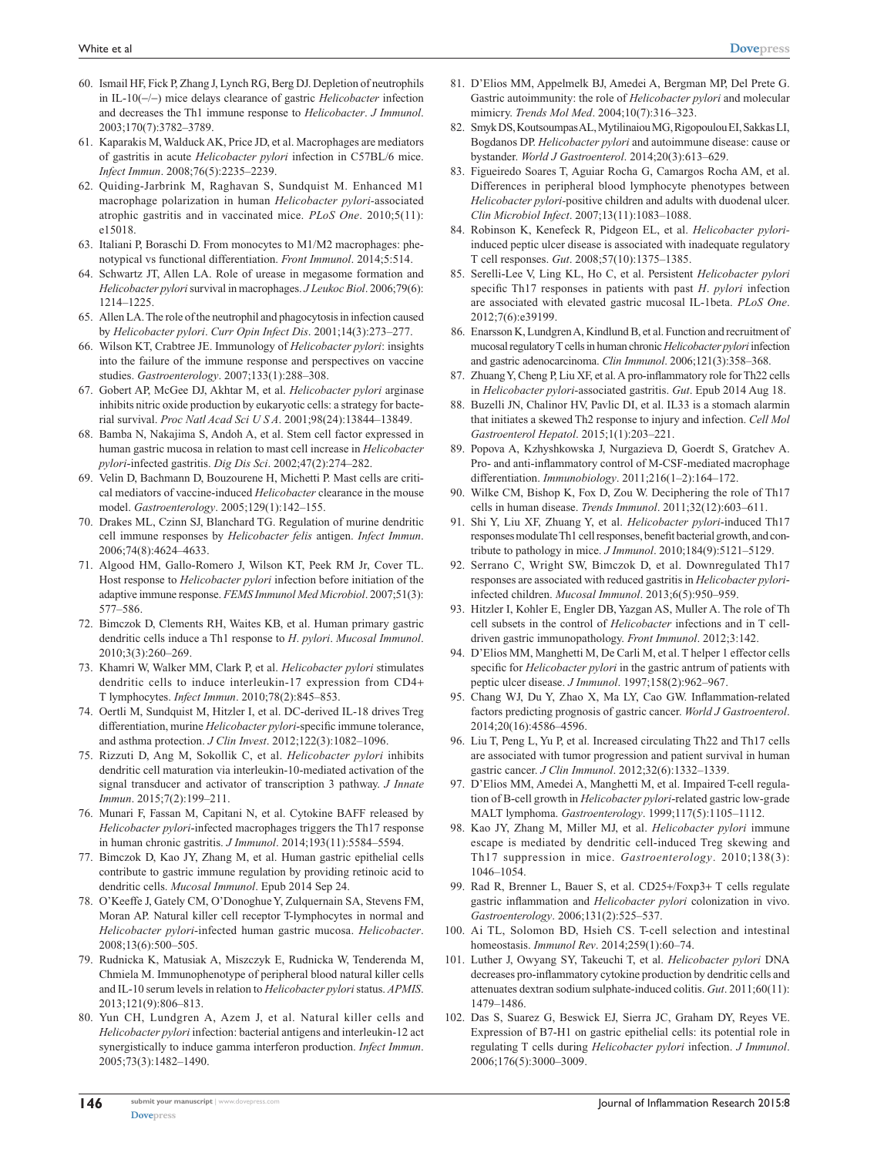- 60. Ismail HF, Fick P, Zhang J, Lynch RG, Berg DJ. Depletion of neutrophils in IL-10(-/-) mice delays clearance of gastric *Helicobacter* infection and decreases the Th1 immune response to *Helicobacter*. *J Immunol*. 2003;170(7):3782–3789.
- 61. Kaparakis M, Walduck AK, Price JD, et al. Macrophages are mediators of gastritis in acute *Helicobacter pylori* infection in C57BL/6 mice. *Infect Immun*. 2008;76(5):2235–2239.
- 62. Quiding-Jarbrink M, Raghavan S, Sundquist M. Enhanced M1 macrophage polarization in human *Helicobacter pylori-*associated atrophic gastritis and in vaccinated mice. *PLoS One*. 2010;5(11): e15018.
- 63. Italiani P, Boraschi D. From monocytes to M1/M2 macrophages: phenotypical vs functional differentiation. *Front Immunol*. 2014;5:514.
- 64. Schwartz JT, Allen LA. Role of urease in megasome formation and *Helicobacter pylori* survival in macrophages. *J Leukoc Biol*. 2006;79(6): 1214–1225.
- 65. Allen LA. The role of the neutrophil and phagocytosis in infection caused by *Helicobacter pylori*. *Curr Opin Infect Dis*. 2001;14(3):273–277.
- 66. Wilson KT, Crabtree JE. Immunology of *Helicobacter pylori*: insights into the failure of the immune response and perspectives on vaccine studies. *Gastroenterology*. 2007;133(1):288–308.
- 67. Gobert AP, McGee DJ, Akhtar M, et al. *Helicobacter pylori* arginase inhibits nitric oxide production by eukaryotic cells: a strategy for bacterial survival. *Proc Natl Acad Sci U S A*. 2001;98(24):13844–13849.
- 68. Bamba N, Nakajima S, Andoh A, et al. Stem cell factor expressed in human gastric mucosa in relation to mast cell increase in *Helicobacter pylori*-infected gastritis. *Dig Dis Sci*. 2002;47(2):274–282.
- 69. Velin D, Bachmann D, Bouzourene H, Michetti P. Mast cells are critical mediators of vaccine-induced *Helicobacter* clearance in the mouse model. *Gastroenterology*. 2005;129(1):142–155.
- 70. Drakes ML, Czinn SJ, Blanchard TG. Regulation of murine dendritic cell immune responses by *Helicobacter felis* antigen. *Infect Immun*. 2006;74(8):4624–4633.
- 71. Algood HM, Gallo-Romero J, Wilson KT, Peek RM Jr, Cover TL. Host response to *Helicobacter pylori* infection before initiation of the adaptive immune response. *FEMS Immunol Med Microbiol*. 2007;51(3): 577–586.
- 72. Bimczok D, Clements RH, Waites KB, et al. Human primary gastric dendritic cells induce a Th1 response to *H*. *pylori*. *Mucosal Immunol*. 2010;3(3):260–269.
- 73. Khamri W, Walker MM, Clark P, et al. *Helicobacter pylori* stimulates dendritic cells to induce interleukin-17 expression from CD4+ T lymphocytes. *Infect Immun*. 2010;78(2):845–853.
- 74. Oertli M, Sundquist M, Hitzler I, et al. DC-derived IL-18 drives Treg differentiation, murine *Helicobacter pylori*-specific immune tolerance, and asthma protection. *J Clin Invest*. 2012;122(3):1082–1096.
- 75. Rizzuti D, Ang M, Sokollik C, et al. *Helicobacter pylori* inhibits dendritic cell maturation via interleukin-10-mediated activation of the signal transducer and activator of transcription 3 pathway. *J Innate Immun*. 2015;7(2):199–211.
- 76. Munari F, Fassan M, Capitani N, et al. Cytokine BAFF released by *Helicobacter pylori*-infected macrophages triggers the Th17 response in human chronic gastritis. *J Immunol*. 2014;193(11):5584–5594.
- 77. Bimczok D, Kao JY, Zhang M, et al. Human gastric epithelial cells contribute to gastric immune regulation by providing retinoic acid to dendritic cells. *Mucosal Immunol*. Epub 2014 Sep 24.
- 78. O'Keeffe J, Gately CM, O'Donoghue Y, Zulquernain SA, Stevens FM, Moran AP. Natural killer cell receptor T-lymphocytes in normal and *Helicobacter pylori*-infected human gastric mucosa. *Helicobacter*. 2008;13(6):500–505.
- 79. Rudnicka K, Matusiak A, Miszczyk E, Rudnicka W, Tenderenda M, Chmiela M. Immunophenotype of peripheral blood natural killer cells and IL-10 serum levels in relation to *Helicobacter pylori* status. *APMIS*. 2013;121(9):806–813.
- 80. Yun CH, Lundgren A, Azem J, et al. Natural killer cells and *Helicobacter pylori* infection: bacterial antigens and interleukin-12 act synergistically to induce gamma interferon production. *Infect Immun*. 2005;73(3):1482–1490.
- 81. D'Elios MM, Appelmelk BJ, Amedei A, Bergman MP, Del Prete G. Gastric autoimmunity: the role of *Helicobacter pylori* and molecular mimicry. *Trends Mol Med*. 2004;10(7):316–323.
- 82. Smyk DS, Koutsoumpas AL, Mytilinaiou MG, Rigopoulou EI, Sakkas LI, Bogdanos DP. *Helicobacter pylori* and autoimmune disease: cause or bystander. *World J Gastroenterol*. 2014;20(3):613–629.
- 83. Figueiredo Soares T, Aguiar Rocha G, Camargos Rocha AM, et al. Differences in peripheral blood lymphocyte phenotypes between *Helicobacter pylori-*positive children and adults with duodenal ulcer. *Clin Microbiol Infect*. 2007;13(11):1083–1088.
- 84. Robinson K, Kenefeck R, Pidgeon EL, et al. *Helicobacter pylori*induced peptic ulcer disease is associated with inadequate regulatory T cell responses. *Gut*. 2008;57(10):1375–1385.
- 85. Serelli-Lee V, Ling KL, Ho C, et al. Persistent *Helicobacter pylori* specific Th17 responses in patients with past *H*. *pylori* infection are associated with elevated gastric mucosal IL-1beta. *PLoS One*. 2012;7(6):e39199.
- 86. Enarsson K, Lundgren A, Kindlund B, et al. Function and recruitment of mucosal regulatory T cells in human chronic *Helicobacter pylori* infection and gastric adenocarcinoma. *Clin Immunol*. 2006;121(3):358–368.
- 87. Zhuang Y, Cheng P, Liu XF, et al. A pro-inflammatory role for Th22 cells in *Helicobacter pylori*-associated gastritis. *Gut*. Epub 2014 Aug 18.
- 88. Buzelli JN, Chalinor HV, Pavlic DI, et al. IL33 is a stomach alarmin that initiates a skewed Th2 response to injury and infection. *Cell Mol Gastroenterol Hepatol*. 2015;1(1):203–221.
- 89. Popova A, Kzhyshkowska J, Nurgazieva D, Goerdt S, Gratchev A. Pro- and anti-inflammatory control of M-CSF-mediated macrophage differentiation. *Immunobiology*. 2011;216(1–2):164–172.
- 90. Wilke CM, Bishop K, Fox D, Zou W. Deciphering the role of Th17 cells in human disease. *Trends Immunol*. 2011;32(12):603–611.
- 91. Shi Y, Liu XF, Zhuang Y, et al. *Helicobacter pylori*-induced Th17 responses modulate Th1 cell responses, benefit bacterial growth, and contribute to pathology in mice. *J Immunol*. 2010;184(9):5121–5129.
- 92. Serrano C, Wright SW, Bimczok D, et al. Downregulated Th17 responses are associated with reduced gastritis in *Helicobacter pylori*infected children. *Mucosal Immunol*. 2013;6(5):950–959.
- 93. Hitzler I, Kohler E, Engler DB, Yazgan AS, Muller A. The role of Th cell subsets in the control of *Helicobacter* infections and in T celldriven gastric immunopathology. *Front Immunol*. 2012;3:142.
- 94. D'Elios MM, Manghetti M, De Carli M, et al. T helper 1 effector cells specific for *Helicobacter pylori* in the gastric antrum of patients with peptic ulcer disease. *J Immunol*. 1997;158(2):962–967.
- 95. Chang WJ, Du Y, Zhao X, Ma LY, Cao GW. Inflammation-related factors predicting prognosis of gastric cancer. *World J Gastroenterol*. 2014;20(16):4586–4596.
- 96. Liu T, Peng L, Yu P, et al. Increased circulating Th22 and Th17 cells are associated with tumor progression and patient survival in human gastric cancer. *J Clin Immunol*. 2012;32(6):1332–1339.
- 97. D'Elios MM, Amedei A, Manghetti M, et al. Impaired T-cell regulation of B-cell growth in *Helicobacter pylori*-related gastric low-grade MALT lymphoma. *Gastroenterology*. 1999;117(5):1105–1112.
- 98. Kao JY, Zhang M, Miller MJ, et al. *Helicobacter pylori* immune escape is mediated by dendritic cell-induced Treg skewing and Th17 suppression in mice. *Gastroenterology*. 2010;138(3): 1046–1054.
- 99. Rad R, Brenner L, Bauer S, et al. CD25+/Foxp3+ T cells regulate gastric inflammation and *Helicobacter pylori* colonization in vivo. *Gastroenterology*. 2006;131(2):525–537.
- 100. Ai TL, Solomon BD, Hsieh CS. T-cell selection and intestinal homeostasis. *Immunol Rev*. 2014;259(1):60–74.
- 101. Luther J, Owyang SY, Takeuchi T, et al. *Helicobacter pylori* DNA decreases pro-inflammatory cytokine production by dendritic cells and attenuates dextran sodium sulphate-induced colitis. *Gut*. 2011;60(11): 1479–1486.
- 102. Das S, Suarez G, Beswick EJ, Sierra JC, Graham DY, Reyes VE. Expression of B7-H1 on gastric epithelial cells: its potential role in regulating T cells during *Helicobacter pylori* infection. *J Immunol*. 2006;176(5):3000–3009.